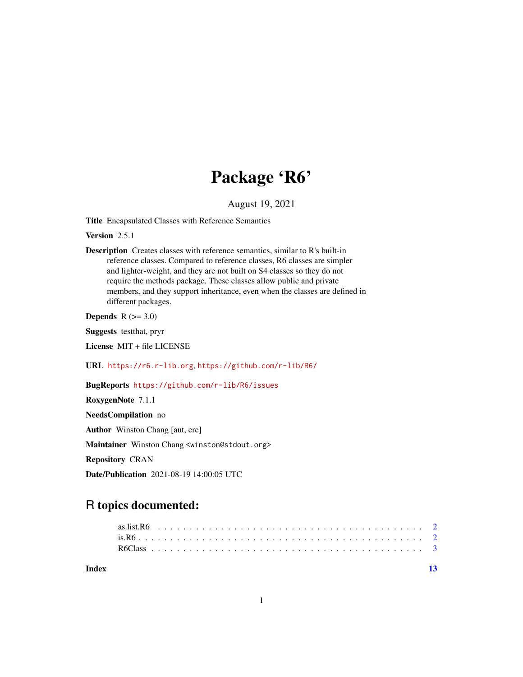## Package 'R6'

August 19, 2021

<span id="page-0-0"></span>Title Encapsulated Classes with Reference Semantics

Version 2.5.1

Description Creates classes with reference semantics, similar to R's built-in reference classes. Compared to reference classes, R6 classes are simpler and lighter-weight, and they are not built on S4 classes so they do not require the methods package. These classes allow public and private members, and they support inheritance, even when the classes are defined in different packages.

Depends  $R$  ( $>= 3.0$ )

Suggests testthat, pryr

License MIT + file LICENSE

URL <https://r6.r-lib.org>, <https://github.com/r-lib/R6/>

#### BugReports <https://github.com/r-lib/R6/issues>

RoxygenNote 7.1.1 NeedsCompilation no Author Winston Chang [aut, cre] Maintainer Winston Chang <winston@stdout.org> Repository CRAN Date/Publication 2021-08-19 14:00:05 UTC

### R topics documented: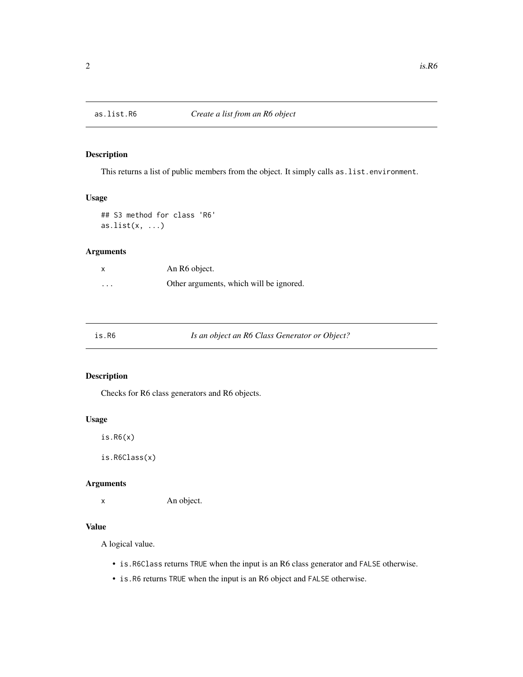<span id="page-1-0"></span>

#### Description

This returns a list of public members from the object. It simply calls as. list.environment.

#### Usage

## S3 method for class 'R6'  $as.list(x, ...)$ 

#### Arguments

|                         | An R6 object.                           |
|-------------------------|-----------------------------------------|
| $\cdot$ $\cdot$ $\cdot$ | Other arguments, which will be ignored. |

Is an object an R6 Class Generator or Object?

#### Description

Checks for R6 class generators and R6 objects.

#### Usage

is.R6(x)

is.R6Class(x)

#### Arguments

x An object.

#### Value

A logical value.

- is.R6Class returns TRUE when the input is an R6 class generator and FALSE otherwise.
- is.R6 returns TRUE when the input is an R6 object and FALSE otherwise.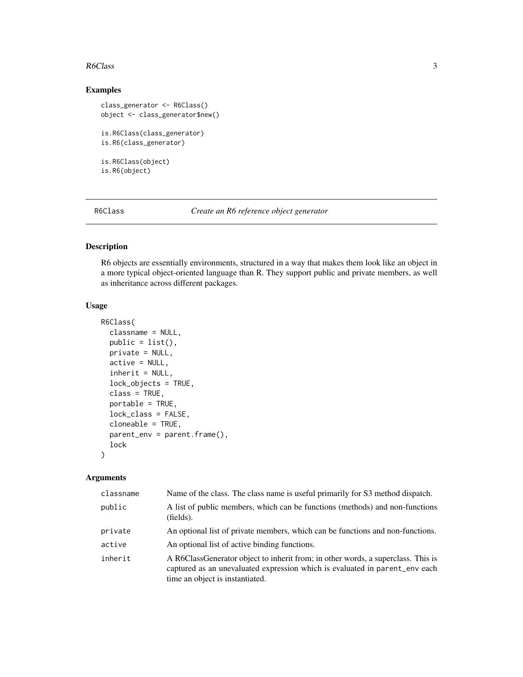#### <span id="page-2-0"></span>Examples

```
class_generator <- R6Class()
object <- class_generator$new()
is.R6Class(class_generator)
is.R6(class_generator)
is.R6Class(object)
is.R6(object)
```
R6Class *Create an R6 reference object generator*

#### Description

R6 objects are essentially environments, structured in a way that makes them look like an object in a more typical object-oriented language than R. They support public and private members, as well as inheritance across different packages.

#### Usage

```
R6Class(
  classname = NULL,
  public = list(),private = NULL,
  active = NULL,inherit = NULL,lock_objects = TRUE,
  class = TRUE,
  portable = TRUE,
  lock_class = FALSE,
  cloneable = TRUE,
  parent_env = parent.frame(),
  lock
)
```
#### Arguments

| classname | Name of the class. The class name is useful primarily for S3 method dispatch.                                                                                                                      |
|-----------|----------------------------------------------------------------------------------------------------------------------------------------------------------------------------------------------------|
| public    | A list of public members, which can be functions (methods) and non-functions<br>(fields).                                                                                                          |
| private   | An optional list of private members, which can be functions and non-functions.                                                                                                                     |
| active    | An optional list of active binding functions.                                                                                                                                                      |
| inherit   | A R6ClassGenerator object to inherit from; in other words, a superclass. This is<br>captured as an unevaluated expression which is evaluated in parent_env each<br>time an object is instantiated. |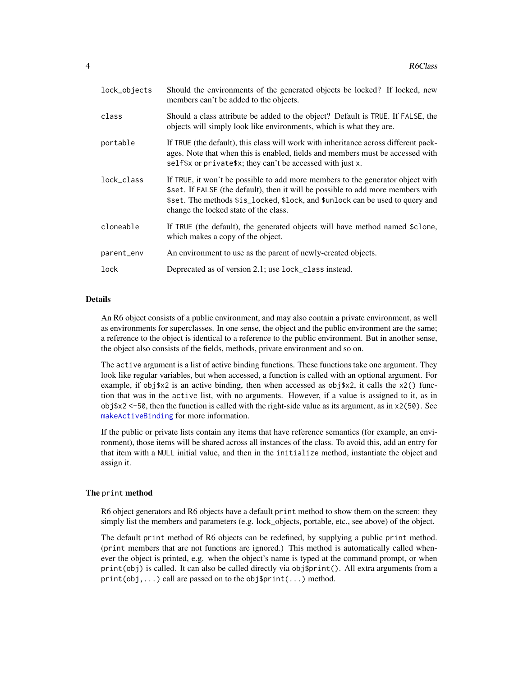<span id="page-3-0"></span>

| lock_objects | Should the environments of the generated objects be locked? If locked, new<br>members can't be added to the objects.                                                                                                                                                                         |
|--------------|----------------------------------------------------------------------------------------------------------------------------------------------------------------------------------------------------------------------------------------------------------------------------------------------|
| class        | Should a class attribute be added to the object? Default is TRUE. If FALSE, the<br>objects will simply look like environments, which is what they are.                                                                                                                                       |
| portable     | If TRUE (the default), this class will work with inheritance across different pack-<br>ages. Note that when this is enabled, fields and members must be accessed with<br>self\$x or private\$x; they can't be accessed with just x.                                                          |
| lock_class   | If TRUE, it won't be possible to add more members to the generator object with<br>\$set. If FALSE (the default), then it will be possible to add more members with<br>\$set. The methods \$is_locked, \$lock, and \$unlock can be used to query and<br>change the locked state of the class. |
| cloneable    | If TRUE (the default), the generated objects will have method named \$clone,<br>which makes a copy of the object.                                                                                                                                                                            |
| parent_env   | An environment to use as the parent of newly-created objects.                                                                                                                                                                                                                                |
| lock         | Deprecated as of version 2.1; use lock_class instead.                                                                                                                                                                                                                                        |

#### Details

An R6 object consists of a public environment, and may also contain a private environment, as well as environments for superclasses. In one sense, the object and the public environment are the same; a reference to the object is identical to a reference to the public environment. But in another sense, the object also consists of the fields, methods, private environment and so on.

The active argument is a list of active binding functions. These functions take one argument. They look like regular variables, but when accessed, a function is called with an optional argument. For example, if obj\$x2 is an active binding, then when accessed as obj\$x2, it calls the  $x2()$  function that was in the active list, with no arguments. However, if a value is assigned to it, as in  $obj$ \$x2 <-50, then the function is called with the right-side value as its argument, as in  $x2(50)$ . See [makeActiveBinding](#page-0-0) for more information.

If the public or private lists contain any items that have reference semantics (for example, an environment), those items will be shared across all instances of the class. To avoid this, add an entry for that item with a NULL initial value, and then in the initialize method, instantiate the object and assign it.

#### The print method

R6 object generators and R6 objects have a default print method to show them on the screen: they simply list the members and parameters (e.g. lock\_objects, portable, etc., see above) of the object.

The default print method of R6 objects can be redefined, by supplying a public print method. (print members that are not functions are ignored.) This method is automatically called whenever the object is printed, e.g. when the object's name is typed at the command prompt, or when print(obj) is called. It can also be called directly via obj\$print(). All extra arguments from a print(obj,...) call are passed on to the obj\$print(...) method.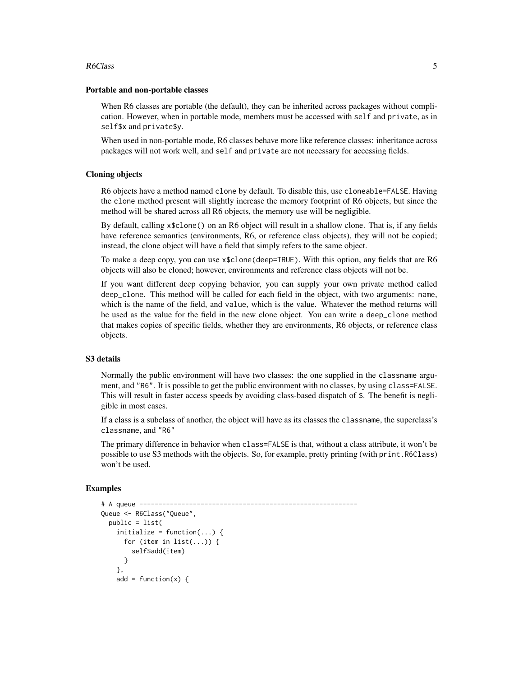#### Portable and non-portable classes

When R6 classes are portable (the default), they can be inherited across packages without complication. However, when in portable mode, members must be accessed with self and private, as in self\$x and private\$y.

When used in non-portable mode, R6 classes behave more like reference classes: inheritance across packages will not work well, and self and private are not necessary for accessing fields.

#### Cloning objects

R6 objects have a method named clone by default. To disable this, use cloneable=FALSE. Having the clone method present will slightly increase the memory footprint of R6 objects, but since the method will be shared across all R6 objects, the memory use will be negligible.

By default, calling x\$clone() on an R6 object will result in a shallow clone. That is, if any fields have reference semantics (environments, R6, or reference class objects), they will not be copied; instead, the clone object will have a field that simply refers to the same object.

To make a deep copy, you can use x\$clone(deep=TRUE). With this option, any fields that are R6 objects will also be cloned; however, environments and reference class objects will not be.

If you want different deep copying behavior, you can supply your own private method called deep\_clone. This method will be called for each field in the object, with two arguments: name, which is the name of the field, and value, which is the value. Whatever the method returns will be used as the value for the field in the new clone object. You can write a deep\_clone method that makes copies of specific fields, whether they are environments, R6 objects, or reference class objects.

#### S3 details

Normally the public environment will have two classes: the one supplied in the classname argument, and "R6". It is possible to get the public environment with no classes, by using class=FALSE. This will result in faster access speeds by avoiding class-based dispatch of \$. The benefit is negligible in most cases.

If a class is a subclass of another, the object will have as its classes the classname, the superclass's classname, and "R6"

The primary difference in behavior when class=FALSE is that, without a class attribute, it won't be possible to use S3 methods with the objects. So, for example, pretty printing (with print.R6Class) won't be used.

#### Examples

```
# A queue ---------------------------------------------------------
Queue <- R6Class("Queue",
 public = list(
   initialize = function(...) {
     for (item in list(...)) {
       self$add(item)
     }
   },
   add = function(x) {
```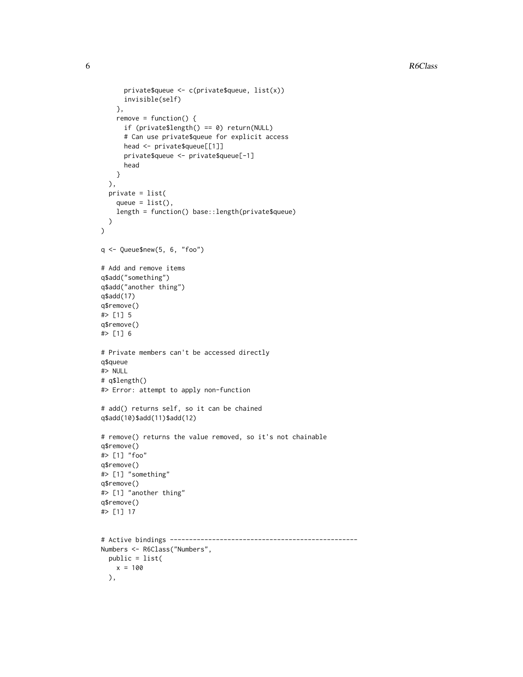```
private$queue <- c(private$queue, list(x))
      invisible(self)
    },
    remove = function() {
      if (private$length() == 0) return(NULL)
      # Can use private$queue for explicit access
      head <- private$queue[[1]]
      private$queue <- private$queue[-1]
      head
    }
  ),
  private = list(
    queue = list(),
    length = function() base::length(private$queue)
  )
\mathcal{L}q <- Queue$new(5, 6, "foo")
# Add and remove items
q$add("something")
q$add("another thing")
q$add(17)
q$remove()
#> [1] 5
q$remove()
#> [1] 6
# Private members can't be accessed directly
q$queue
#> NULL
# q$length()
#> Error: attempt to apply non-function
# add() returns self, so it can be chained
q$add(10)$add(11)$add(12)
# remove() returns the value removed, so it's not chainable
q$remove()
#> [1] "foo"
q$remove()
#> [1] "something"
q$remove()
#> [1] "another thing"
q$remove()
#> [1] 17
# Active bindings -------------------------------------------------
Numbers <- R6Class("Numbers",
  public = list(
    x = 100),
```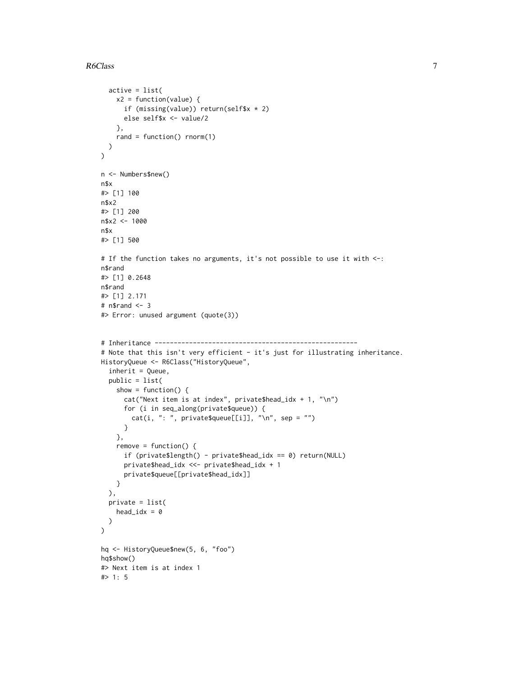```
active = list(
    x2 = function(value) {
      if (missing(value)) return(self$x * 2)
      else self$x <- value/2
    },
    rand = function() rnorm(1)
  )
\mathcal{L}n <- Numbers$new()
n$x
#> [1] 100
n$x2
#> [1] 200
n$x2 <- 1000
n$x
#> [1] 500
# If the function takes no arguments, it's not possible to use it with <-:
n$rand
#> [1] 0.2648
n$rand
#> [1] 2.171
# n$rand <- 3
#> Error: unused argument (quote(3))
# Inheritance -----------------------------------------------------
# Note that this isn't very efficient - it's just for illustrating inheritance.
HistoryQueue <- R6Class("HistoryQueue",
  inherit = Queue,
  public = list(
    show = function() {
      cat("Next item is at index", private$head_idx + 1, "\n")
      for (i in seq_along(private$queue)) {
        cat(i, ": ", private$queue[[i]], "\\n", sep = "")}
    },
    remove = function() {
      if (private$length() - private$head_idx == 0) return(NULL)
      private$head_idx <<- private$head_idx + 1
      private$queue[[private$head_idx]]
    }
  ),
  private = list(
    head_idx = 0\lambda\lambdahq <- HistoryQueue$new(5, 6, "foo")
hq$show()
#> Next item is at index 1
#> 1: 5
```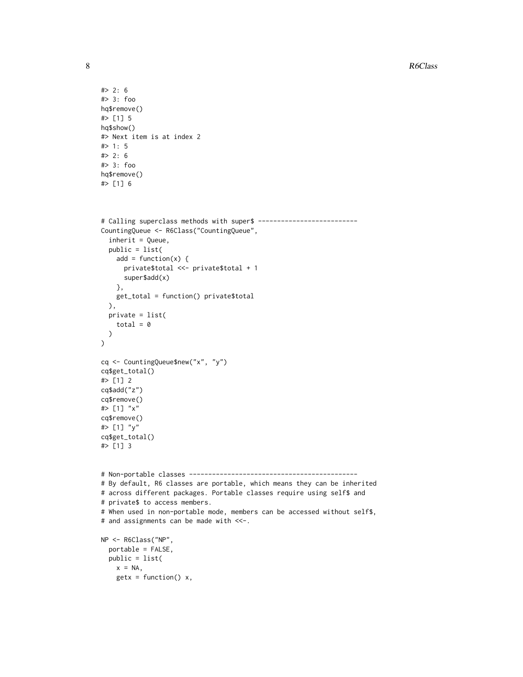```
#> 2: 6
#> 3: foo
hq$remove()
#> [1] 5
hq$show()
#> Next item is at index 2
#> 1: 5
#> 2: 6
#> 3: foo
hq$remove()
#> [1] 6
# Calling superclass methods with super$ --------------------------
CountingQueue <- R6Class("CountingQueue",
  inherit = Queue,
  public = list(
   add = function(x) {
     private$total <<- private$total + 1
     super$add(x)
   },
   get_total = function() private$total
  ),
  private = list(
   total = 0)
\lambdacq <- CountingQueue$new("x", "y")
cq$get_total()
#> [1] 2
cq$add("z")
cq$remove()
#> [1] "x"
cq$remove()
#> [1] "y"
cq$get_total()
#> [1] 3
# Non-portable classes --------------------------------------------
# By default, R6 classes are portable, which means they can be inherited
# across different packages. Portable classes require using self$ and
# private$ to access members.
# When used in non-portable mode, members can be accessed without self$,
# and assignments can be made with <<-.
NP <- R6Class("NP",
  portable = FALSE,
  public = list(
   x = NA,
   getx = function() x,
```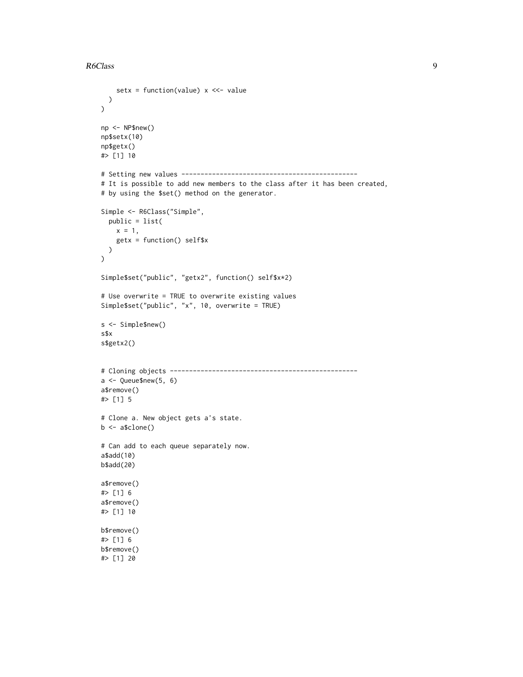```
setx = function(value) x \ll -value
 )
)
np <- NP$new()
np$setx(10)
np$getx()
#> [1] 10
# Setting new values ----------------------------------------------
# It is possible to add new members to the class after it has been created,
# by using the $set() method on the generator.
Simple <- R6Class("Simple",
  public = list(
   x = 1,
    getx = function() self$x
  )
\overline{)}Simple$set("public", "getx2", function() self$x*2)
# Use overwrite = TRUE to overwrite existing values
Simple$set("public", "x", 10, overwrite = TRUE)
s <- Simple$new()
s$x
s$getx2()
# Cloning objects -------------------------------------------------
a \leftarrow Queue$new(5, 6)
a$remove()
#> [1] 5
# Clone a. New object gets a's state.
b \leftarrow a$clone()
# Can add to each queue separately now.
a$add(10)
b$add(20)
a$remove()
#> [1] 6
a$remove()
#> [1] 10
b$remove()
#> [1] 6
b$remove()
#> [1] 20
```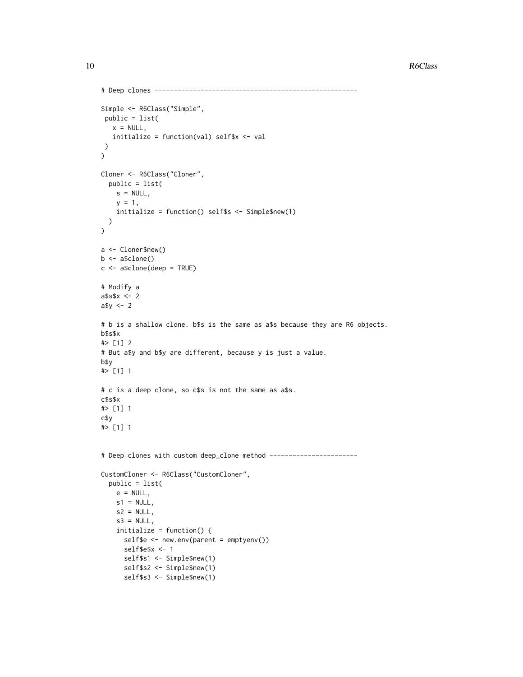```
# Deep clones -----------------------------------------------------
Simple <- R6Class("Simple",
public = list(
   x = NULL,initialize = function(val) self$x <- val
)
)
Cloner <- R6Class("Cloner",
  public = list(
    s = NULL,y = 1,
    initialize = function() self$s <- Simple$new(1)
  )
\mathcal{L}a <- Cloner$new()
b \leftarrow a$clone()
c \le - a$clone(deep = TRUE)
# Modify a
a$s$x <- 2
a$y <- 2
# b is a shallow clone. b$s is the same as a$s because they are R6 objects.
b$s$x
#> [1] 2
# But a$y and b$y are different, because y is just a value.
b$y
#> [1] 1
# c is a deep clone, so c$s is not the same as a$s.
c$s$x
#> [1] 1
c$y
#> [1] 1
# Deep clones with custom deep_clone method -----------------------
CustomCloner <- R6Class("CustomCloner",
  public = list(
    e = NULL,s1 = NULL,s2 = NULL,s3 = NULL,initialize = function() {
      self$e <- new.env(parent = emptyenv())
      self$e$x <- 1
      self$s1 <- Simple$new(1)
      self$s2 <- Simple$new(1)
      self$s3 <- Simple$new(1)
```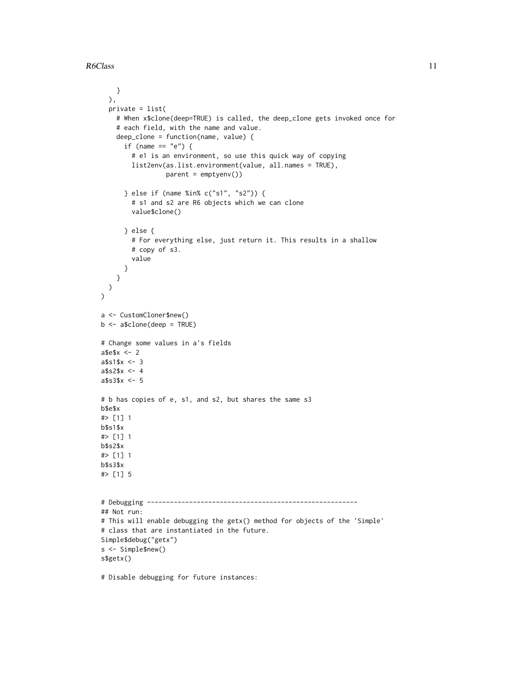```
}
 ),
  private = list(
   # When x$clone(deep=TRUE) is called, the deep_clone gets invoked once for
    # each field, with the name and value.
    deep_clone = function(name, value) {
      if (name == "e") {
        # e1 is an environment, so use this quick way of copying
        list2env(as.list.environment(value, all.names = TRUE),
                 parent = emptyenv())
      } else if (name %in% c("s1", "s2")) {
        # s1 and s2 are R6 objects which we can clone
        value$clone()
      } else {
        # For everything else, just return it. This results in a shallow
        # copy of s3.
        value
      }
   }
 )
\lambdaa <- CustomCloner$new()
b \leq -a$clone(deep = TRUE)
# Change some values in a's fields
a$e$x <- 2
a$s1$x < -3a$s2$x <- 4
a$s3$x <- 5
# b has copies of e, s1, and s2, but shares the same s3
b$e$x
#> [1] 1
b$s1$x
#> [1] 1
b$s2$x
#> [1] 1
b$s3$x
#> [1] 5
# Debugging -------------------------------------------------------
## Not run:
# This will enable debugging the getx() method for objects of the 'Simple'
# class that are instantiated in the future.
Simple$debug("getx")
s <- Simple$new()
s$getx()
# Disable debugging for future instances:
```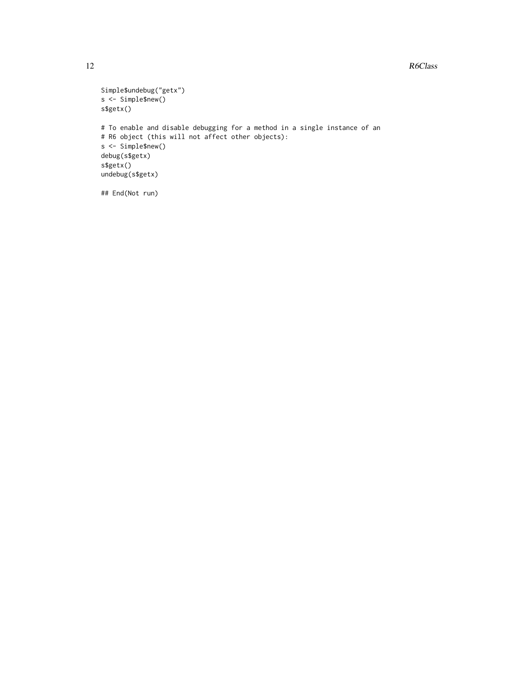```
Simple$undebug("getx")
s <- Simple$new()
s$getx()
# To enable and disable debugging for a method in a single instance of an
# R6 object (this will not affect other objects):
s <- Simple$new()
debug(s$getx)
s$getx()
undebug(s$getx)
## End(Not run)
```